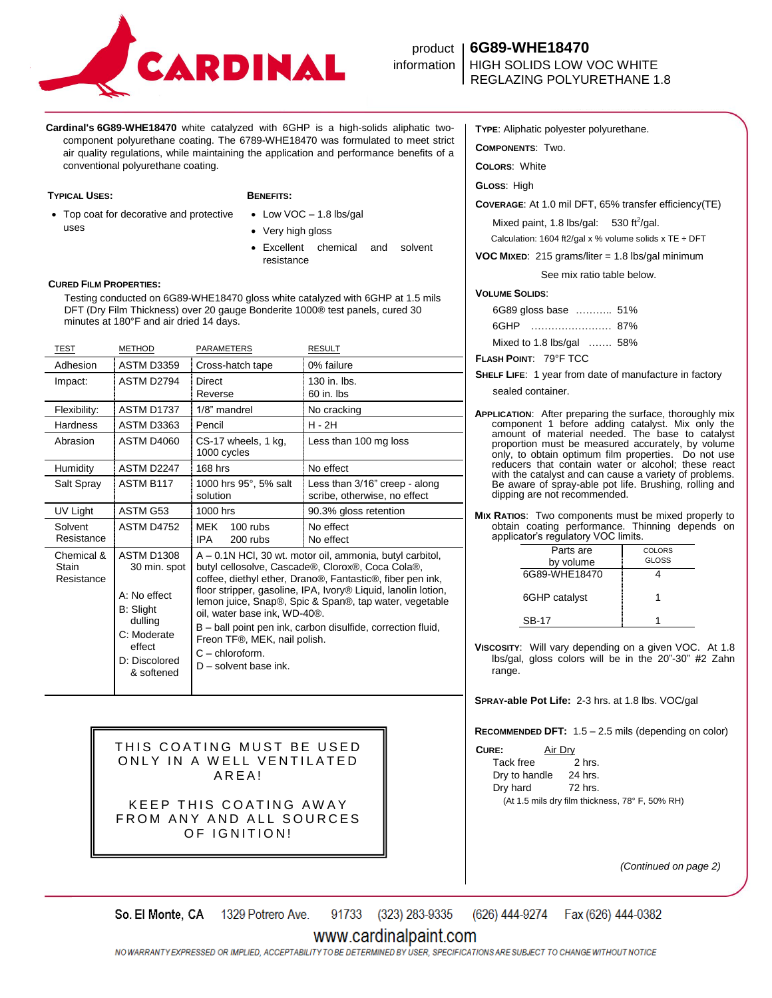

# product **6G89-WHE18470** REGLAZING POLYURETHANE 1.8

**Cardinal's 6G89-WHE18470** white catalyzed with 6GHP is a high-solids aliphatic twocomponent polyurethane coating. The 6789-WHE18470 was formulated to meet strict air quality regulations, while maintaining the application and performance benefits of a conventional polyurethane coating.

### **TYPICAL USES: BENEFITS:**

- Top coat for decorative and protective uses
- Low VOC 1.8 lbs/gal
	- Very high gloss
	- Excellent chemical and solvent resistance

### **CURED FILM PROPERTIES:**

 Testing conducted on 6G89-WHE18470 gloss white catalyzed with 6GHP at 1.5 mils DFT (Dry Film Thickness) over 20 gauge Bonderite 1000® test panels, cured 30 minutes at 180°F and air dried 14 days.

| <b>TEST</b>                       | <b>METHOD</b>                                                                                                                     | PARAMETERS                                                                                                                                                                                                                                                                                                                                                                                                                                                                                      | <b>RESULT</b>                                                 |
|-----------------------------------|-----------------------------------------------------------------------------------------------------------------------------------|-------------------------------------------------------------------------------------------------------------------------------------------------------------------------------------------------------------------------------------------------------------------------------------------------------------------------------------------------------------------------------------------------------------------------------------------------------------------------------------------------|---------------------------------------------------------------|
| Adhesion                          | <b>ASTM D3359</b>                                                                                                                 | Cross-hatch tape                                                                                                                                                                                                                                                                                                                                                                                                                                                                                | 0% failure                                                    |
| Impact:                           | ASTM D2794                                                                                                                        | <b>Direct</b><br>Reverse                                                                                                                                                                                                                                                                                                                                                                                                                                                                        | 130 in. lbs.<br>60 in. lbs                                    |
| Flexibility:                      | ASTM D1737                                                                                                                        | 1/8" mandrel                                                                                                                                                                                                                                                                                                                                                                                                                                                                                    | No cracking                                                   |
| Hardness                          | ASTM D3363                                                                                                                        | Pencil                                                                                                                                                                                                                                                                                                                                                                                                                                                                                          | H - 2H                                                        |
| Abrasion                          | <b>ASTM D4060</b>                                                                                                                 | CS-17 wheels, 1 kg,<br>1000 cycles                                                                                                                                                                                                                                                                                                                                                                                                                                                              | Less than 100 mg loss                                         |
| Humidity                          | ASTM D2247                                                                                                                        | 168 hrs                                                                                                                                                                                                                                                                                                                                                                                                                                                                                         | No effect                                                     |
| Salt Spray                        | ASTM B117                                                                                                                         | 1000 hrs 95°, 5% salt<br>solution                                                                                                                                                                                                                                                                                                                                                                                                                                                               | Less than 3/16" creep - along<br>scribe, otherwise, no effect |
| UV Light                          | ASTM G53                                                                                                                          | 1000 hrs                                                                                                                                                                                                                                                                                                                                                                                                                                                                                        | 90.3% gloss retention                                         |
| Solvent<br>Resistance             | <b>ASTM D4752</b>                                                                                                                 | MEK<br>$100$ rubs<br><b>IPA</b><br>200 rubs                                                                                                                                                                                                                                                                                                                                                                                                                                                     | No effect<br>No effect                                        |
| Chemical &<br>Stain<br>Resistance | <b>ASTM D1308</b><br>30 min. spot<br>A: No effect<br>B: Slight<br>dulling<br>C: Moderate<br>effect<br>D: Discolored<br>& softened | A – 0.1N HCl, 30 wt. motor oil, ammonia, butyl carbitol,<br>butyl cellosolve, Cascade®, Clorox®, Coca Cola®,<br>coffee, diethyl ether, Drano®, Fantastic®, fiber pen ink,<br>floor stripper, gasoline, IPA, Ivory <sup>®</sup> Liquid, lanolin lotion,<br>lemon juice, Snap®, Spic & Span®, tap water, vegetable<br>oil, water base ink, WD-40®.<br>B – ball point pen ink, carbon disulfide, correction fluid,<br>Freon TF®, MEK, nail polish.<br>$C$ – chloroform.<br>$D$ – solvent base ink. |                                                               |

THIS COATING MUST BE USED ONLY IN A WELL VENTILATED A R E A !

KEEP THIS COATING AWAY FROM ANY AND ALL SOURCES OF IGNITION!

**TYPE**: Aliphatic polyester polyurethane.

**COMPONENTS**: Two.

**COLORS**: White

**GLOSS**: High

**COVERAGE**: At 1.0 mil DFT, 65% transfer efficiency(TE)

Mixed paint, 1.8 lbs/gal:  $530 \text{ ft}^2/\text{gal.}$ Calculation: 1604 ft2/gal x % volume solids x TE  $\div$  DFT

**VOC MIXED**: 215 grams/liter = 1.8 lbs/gal minimum

See mix ratio table below.

### **VOLUME SOLIDS**:

| 6G89 gloss base  51%      |  |
|---------------------------|--|
| 6GHP                      |  |
| Mixed to 1.8 lbs/gal  58% |  |

**FLASH POINT**: 79°F TCC

**SHELF LIFE**: 1 year from date of manufacture in factory

sealed container.

**APPLICATION**: After preparing the surface, thoroughly mix component 1 before adding catalyst. Mix only the amount of material needed. The base to catalyst proportion must be measured accurately, by volume only, to obtain optimum film properties. Do not use reducers that contain water or alcohol; these react with the catalyst and can cause a variety of problems. Be aware of spray-able pot life. Brushing, rolling and dipping are not recommended.

**MIX RATIOS**: Two components must be mixed properly to obtain coating performance. Thinning depends on applicator's regulatory VOC limits.

| Parts are     | COLORS |
|---------------|--------|
| by volume     | GLOSS  |
| 6G89-WHF18470 |        |
| 6GHP catalyst |        |
| SB-17         |        |

**VISCOSITY**: Will vary depending on a given VOC. At 1.8 lbs/gal, gloss colors will be in the 20"-30" #2 Zahn range.

**SPRAY-able Pot Life:** 2-3 hrs. at 1.8 lbs. VOC/gal

**RECOMMENDED DFT:** 1.5 – 2.5 mils (depending on color)

**CURE:** Air Dry

Tack free 2 hrs. Dry to handle 24 hrs. Dry hard 72 hrs. (At 1.5 mils dry film thickness, 78° F, 50% RH)

*(Continued on page 2)*

91733 (323) 283-9335 (626) 444-9274 So. El Monte, CA 1329 Potrero Ave. Fax (626) 444-0382

## www.cardinalpaint.com

NO WARRANTY EXPRESSED OR IMPLIED. ACCEPTABILITY TO BE DETERMINED BY USER. SPECIFICATIONS ARE SUBJECT TO CHANGE WITHOUT NOTICE